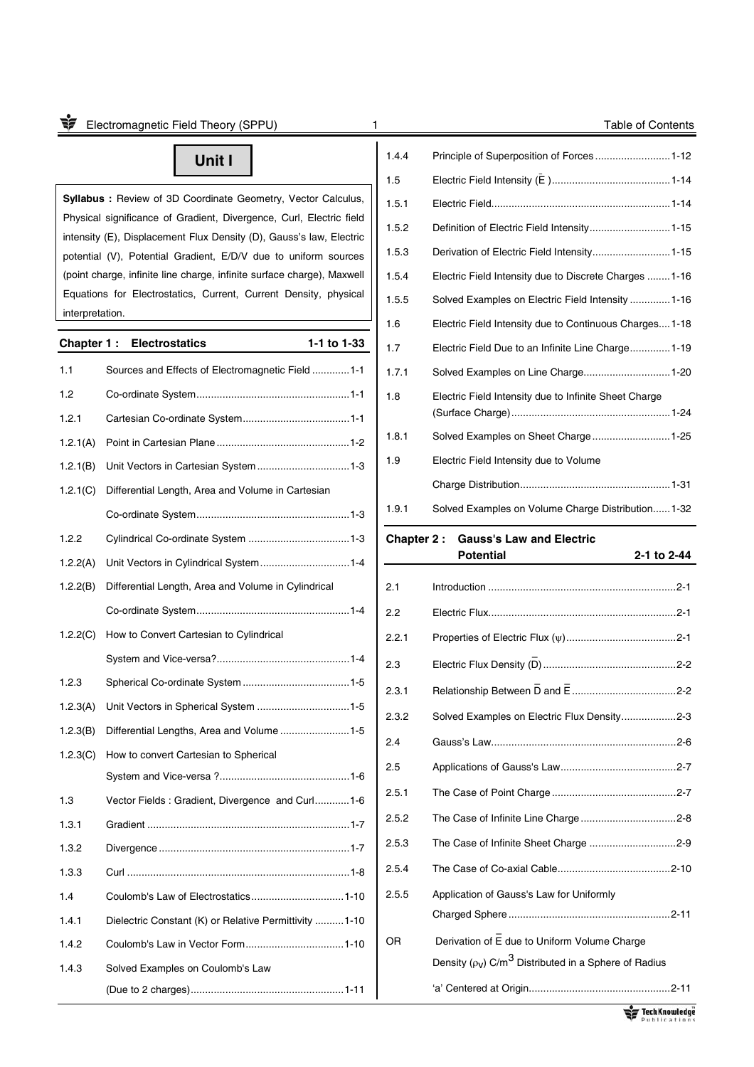## **Unit I**

**Syllabus : Review of 3D Coordinate Geometry, Vector Calculus,** Physical significance of Gradient, Divergence, Curl, Electric field intensity (E), Displacement Flux Density (D), Gauss's law, Electric potential (V), Potential Gradient, E/D/V due to uniform sources (point charge, infinite line charge, infinite surface charge), Maxwell Equations for Electrostatics, Current, Current Density, physical interpretation.

### **Chapter 1 : Electrostatics 1-1 to 1-33**

| 1.1      | Sources and Effects of Electromagnetic Field1-1        |
|----------|--------------------------------------------------------|
| 1.2      |                                                        |
| 1.2.1    |                                                        |
| 1.2.1(A) |                                                        |
| 1.2.1(B) | Unit Vectors in Cartesian System 1-3                   |
| 1.2.1(C) | Differential Length, Area and Volume in Cartesian      |
|          |                                                        |
| 1.2.2    |                                                        |
| 1.2.2(A) | Unit Vectors in Cylindrical System1-4                  |
| 1.2.2(B) | Differential Length, Area and Volume in Cylindrical    |
|          |                                                        |
| 1.2.2(C) | How to Convert Cartesian to Cylindrical                |
|          |                                                        |
| 1.2.3    |                                                        |
| 1.2.3(A) | Unit Vectors in Spherical System 1-5                   |
| 1.2.3(B) |                                                        |
| 1.2.3(C) | How to convert Cartesian to Spherical                  |
|          |                                                        |
| 1.3      | Vector Fields: Gradient, Divergence and Curl1-6        |
| 1.3.1    |                                                        |
| 1.3.2    |                                                        |
| 1.3.3    |                                                        |
| 1.4      |                                                        |
| 1.4.1    | Dielectric Constant (K) or Relative Permittivity  1-10 |
| 1.4.2    |                                                        |
| 1.4.3    | Solved Examples on Coulomb's Law                       |
|          |                                                        |

| oг.   | $\mathbf{a}$ , $\mathbf{a}$ , $\mathbf{a}$ , $\mathbf{a}$ , $\mathbf{a}$ , $\mathbf{a}$ , $\mathbf{a}$ , $\mathbf{a}$ , $\mathbf{a}$ , $\mathbf{a}$ , $\mathbf{a}$ , $\mathbf{a}$ , $\mathbf{a}$ , $\mathbf{a}$ , $\mathbf{a}$ , $\mathbf{a}$ , $\mathbf{a}$ , $\mathbf{a}$ , $\mathbf{a}$ , $\mathbf{a}$ , |
|-------|-------------------------------------------------------------------------------------------------------------------------------------------------------------------------------------------------------------------------------------------------------------------------------------------------------------|
| 1.9.1 | Solved Examples on Volume Charge Distribution 1-32                                                                                                                                                                                                                                                          |
|       |                                                                                                                                                                                                                                                                                                             |
| 1.9   | Electric Field Intensity due to Volume                                                                                                                                                                                                                                                                      |
| 1.8.1 |                                                                                                                                                                                                                                                                                                             |
| 1.8   | Electric Field Intensity due to Infinite Sheet Charge                                                                                                                                                                                                                                                       |
| 1.7.1 |                                                                                                                                                                                                                                                                                                             |
| 1.7   | Electric Field Due to an Infinite Line Charge 1-19                                                                                                                                                                                                                                                          |
| 1.6   | Electric Field Intensity due to Continuous Charges1-18                                                                                                                                                                                                                                                      |
| 1.5.5 | Solved Examples on Electric Field Intensity 1-16                                                                                                                                                                                                                                                            |
| 1.5.4 | Electric Field Intensity due to Discrete Charges 1-16                                                                                                                                                                                                                                                       |
| 1.5.3 | Derivation of Electric Field Intensity 1-15                                                                                                                                                                                                                                                                 |
| 1.5.2 | Definition of Electric Field Intensity 1-15                                                                                                                                                                                                                                                                 |
| 1.5.1 |                                                                                                                                                                                                                                                                                                             |
| 1.5   |                                                                                                                                                                                                                                                                                                             |
| 1.4.4 | Principle of Superposition of Forces 1-12                                                                                                                                                                                                                                                                   |
|       |                                                                                                                                                                                                                                                                                                             |

### **Chapter 2 : Gauss's Law and Electric**

# 2.1 Introduction ................................................................. 2-1 2.2 Electric Flux ................................................................. 2-1 2.2.1 Properties of Electric Flux () ...................................... 2-1 2.3 Electric Flux Density (– D) .............................................. 2-2 2.3.1 Relationship Between – D and – E .................................... 2-2 2.3.2 Solved Examples on Electric Flux Density ................... 2-3 2.4 Gauss's Law ................................................................ 2-6 2.5 Applications of Gauss's Law ........................................ 2-7 2.5.1 The Case of Point Charge ........................................... 2-7 2.5.2 The Case of Infinite Line Charge ................................. 2-8 2.5.3 The Case of Infinite Sheet Charge .............................. 2-9 2.5.4 The Case of Co-axial Cable ....................................... 2-10 2.5.5 Application of Gauss's Law for Uniformly Charged Sphere ........................................................ 2-11 OR Derivation of E due to Uniform Volume Charge Density ( $\rho_{\rm V}$ ) C/m<sup>3</sup> Distributed in a Sphere of Radius 'a' Centered at Origin................................................. 2-11

 **Potential 2-1 to 2-44**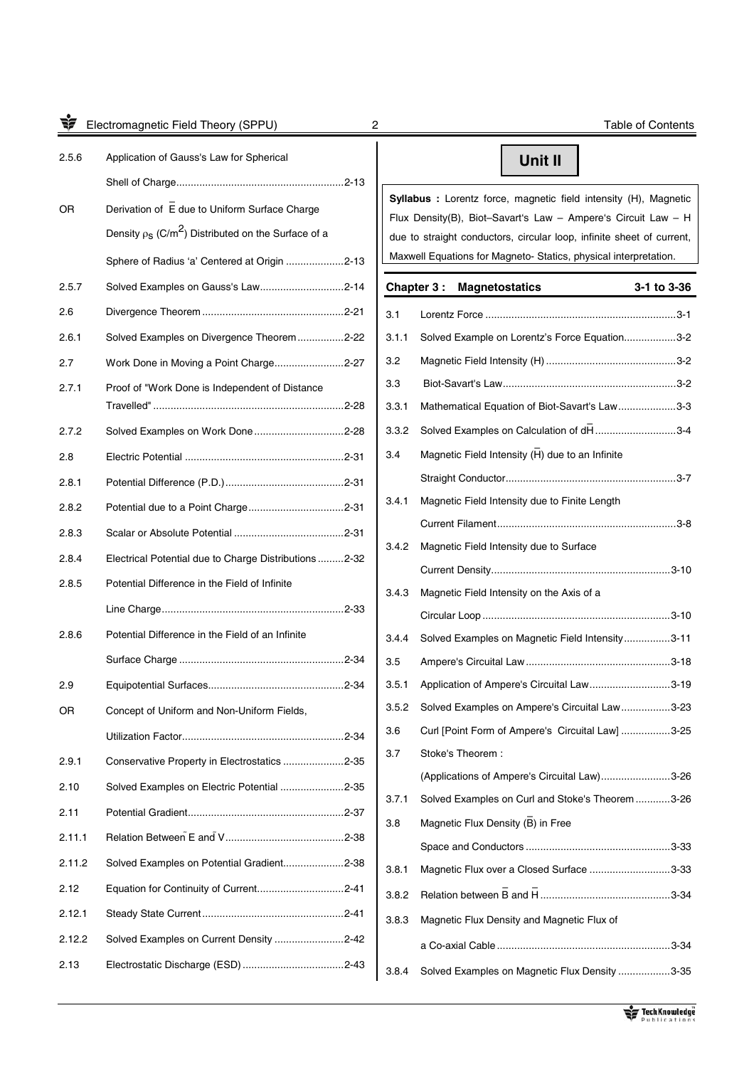Electromagnetic Field Theory (SPPU) 2 2 Table of Contents

| 2.5.6  | Application of Gauss's Law for Spherical                             |
|--------|----------------------------------------------------------------------|
|        |                                                                      |
| OR.    | Derivation of $\bar{\mathsf{E}}$ due to Uniform Surface Charge       |
|        | Density $\rho_S$ (C/m <sup>2</sup> ) Distributed on the Surface of a |
|        | Sphere of Radius 'a' Centered at Origin 2-13                         |
| 2.5.7  | Solved Examples on Gauss's Law2-14                                   |
| 2.6    |                                                                      |
| 2.6.1  | Solved Examples on Divergence Theorem 2-22                           |
| 2.7    | Work Done in Moving a Point Charge2-27                               |
| 2.7.1  | Proof of "Work Done is Independent of Distance                       |
| 2.7.2  | Solved Examples on Work Done2-28                                     |
| 2.8    |                                                                      |
| 2.8.1  |                                                                      |
| 2.8.2  |                                                                      |
| 2.8.3  |                                                                      |
| 2.8.4  | Electrical Potential due to Charge Distributions 2-32                |
| 2.8.5  | Potential Difference in the Field of Infinite                        |
|        |                                                                      |
| 2.8.6  | Potential Difference in the Field of an Infinite                     |
|        |                                                                      |
| 2.9    |                                                                      |
| ΟR     | Concept of Uniform and Non-Uniform Fields,                           |
|        |                                                                      |
| 2.9.1  | Conservative Property in Electrostatics 2-35                         |
| 2.10   | Solved Examples on Electric Potential 2-35                           |
| 2.11   |                                                                      |
| 2.11.1 |                                                                      |
| 2.11.2 | Solved Examples on Potential Gradient2-38                            |
| 2.12   |                                                                      |
| 2.12.1 |                                                                      |
| 2.12.2 | Solved Examples on Current Density 2-42                              |
| 2.13   |                                                                      |

### **Unit II**

**Syllabus :** Lorentz force, magnetic field intensity (H), Magnetic Flux Density(B), Biot–Savart's Law – Ampere's Circuit Law – H due to straight conductors, circular loop, infinite sheet of current, Maxwell Equations for Magneto- Statics, physical interpretation.

# **Chapter 3 : Magnetostatics 3-1 to 3-36**  3.1 Lorentz Force .................................................................. 3-1 3.1.1 Solved Example on Lorentz's Force Equation.................. 3-2 3.2 Magnetic Field Intensity (H) ............................................. 3-2 3.3 Biot-Savart's Law ............................................................ 3-2 3.3.1 Mathematical Equation of Biot-Savart's Law .................... 3-3 3.3.2 Solved Examples on Calculation of dH ..............................<br>3.3.2 Solved Examples on Calculation of dH ............................3-4 3.4 Magnetic Field Intensity  $\overline{H}$ ) due to an Infinite Straight Conductor ........................................................... 3-7 3.4.1 Magnetic Field Intensity due to Finite Length Current Filament .............................................................. 3-8 3.4.2 Magnetic Field Intensity due to Surface Current Density. ............................................................. 3-10 3.4.3 Magnetic Field Intensity on the Axis of a Circular Loop ................................................................. 3-10 3.4.4 Solved Examples on Magnetic Field Intensity ................ 3-11 3.5 Ampere's Circuital Law .................................................. 3-18 3.5.1 Application of Ampere's Circuital Law ............................ 3-19 3.5.2 Solved Examples on Ampere's Circuital Law ................. 3-23 3.6 Curl [Point Form of Ampere's Circuital Law] ................. 3-25 3.7 Stoke's Theorem : (Applications of Ampere's Circuital Law) ........................ 3-26 3.7.1 Solved Examples on Curl and Stoke's Theorem ............ 3-26 3.8 Magnetic Flux Density (B) in Free Space and Conductors .................................................. 3-33 3.8.1 Magnetic Flux over a Closed Surface ............................ 3-33 3.8.2 Relation between – B and – H ............................................. 3-34 3.8.3 Magnetic Flux Density and Magnetic Flux of a Co-axial Cable ............................................................ 3-34 3.8.4 Solved Examples on Magnetic Flux Density .................. 3-35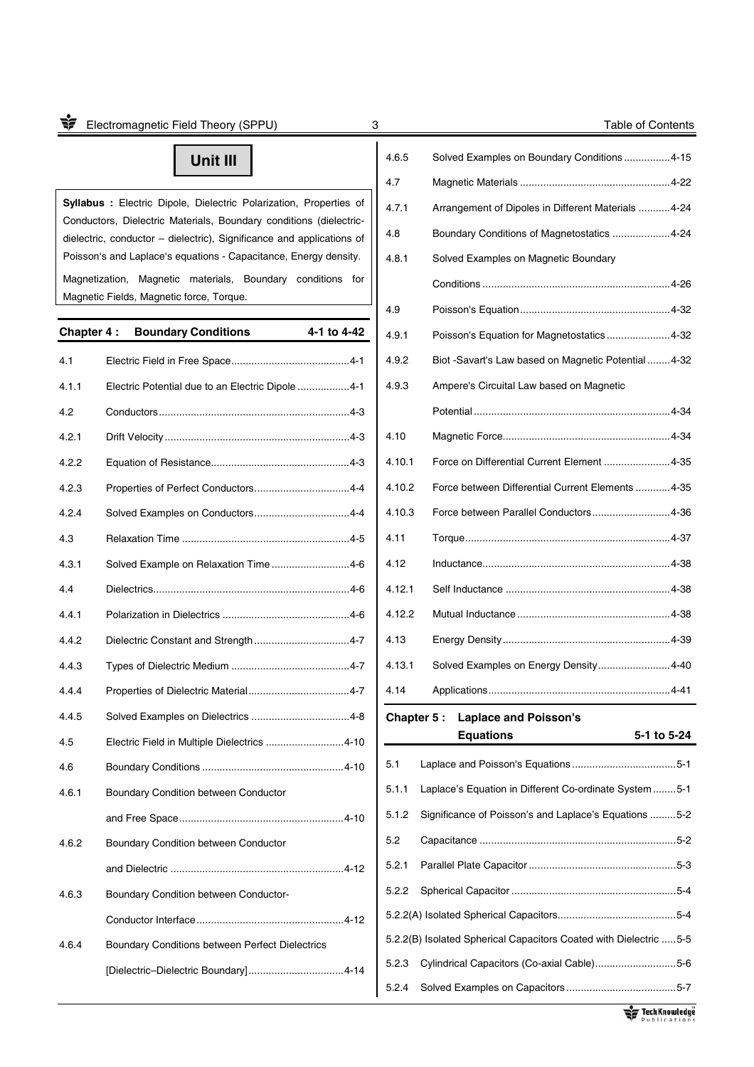## **Unit III**

**Syllabus :** Electric Dipole, Dielectric Polarization, Properties of Conductors, Dielectric Materials, Boundary conditions (dielectricdielectric, conductor – dielectric), Significance and applications of Poisson's and Laplace's equations - Capacitance, Energy density. Magnetization, Magnetic materials, Boundary conditions for Magnetic Fields, Magnetic force, Torque.

| Chapter 4 : | <b>Boundary Conditions</b>                       | 4-1 to 4-42 |
|-------------|--------------------------------------------------|-------------|
| 4.1         |                                                  |             |
| 4.1.1       | Electric Potential due to an Electric Dipole 4-1 |             |
| 4.2         |                                                  |             |
| 4.2.1       |                                                  |             |
| 4.2.2       |                                                  |             |
| 4.2.3       |                                                  |             |
| 4.2.4       |                                                  |             |
| 4.3         |                                                  |             |
| 4.3.1       | Solved Example on Relaxation Time4-6             |             |
| 4.4         |                                                  |             |
| 4.4.1       |                                                  |             |
| 4.4.2       | Dielectric Constant and Strength 4-7             |             |
| 4.4.3       |                                                  |             |
| 4.4.4       |                                                  |             |
| 4.4.5       |                                                  |             |
| 4.5         | Electric Field in Multiple Dielectrics 4-10      |             |
| 4.6         |                                                  |             |
| 4.6.1       | Boundary Condition between Conductor             |             |
|             |                                                  |             |
| 4.6.2       | Boundary Condition between Conductor             |             |
|             |                                                  |             |
| 4.6.3       | Boundary Condition between Conductor-            |             |
|             |                                                  |             |
| 4.6.4       | Boundary Conditions between Perfect Dielectrics  |             |
|             |                                                  |             |
|             |                                                  |             |

| 4.6.5                                                              | Solved Examples on Boundary Conditions4-15             |
|--------------------------------------------------------------------|--------------------------------------------------------|
| 4.7                                                                |                                                        |
| 4.7.1                                                              | Arrangement of Dipoles in Different Materials  4-24    |
| 4.8                                                                | Boundary Conditions of Magnetostatics 4-24             |
| 4.8.1                                                              | Solved Examples on Magnetic Boundary                   |
|                                                                    |                                                        |
| 4.9                                                                |                                                        |
| 4.9.1                                                              | Poisson's Equation for Magnetostatics 4-32             |
| 4.9.2                                                              | Biot -Savart's Law based on Magnetic Potential4-32     |
| 4.9.3                                                              | Ampere's Circuital Law based on Magnetic               |
|                                                                    |                                                        |
| 4.10                                                               |                                                        |
| 4.10.1                                                             | Force on Differential Current Element  4-35            |
| 4.10.2                                                             | Force between Differential Current Elements  4-35      |
| 4.10.3                                                             | Force between Parallel Conductors4-36                  |
| 4.11                                                               |                                                        |
| 4.12                                                               |                                                        |
| 4.12.1                                                             |                                                        |
| 4.12.2                                                             |                                                        |
| 4.13                                                               |                                                        |
| 4.13.1                                                             | Solved Examples on Energy Density 4-40                 |
| 4.14                                                               |                                                        |
| Chapter 5 :                                                        | <b>Laplace and Poisson's</b>                           |
|                                                                    | <b>Equations</b><br>5-1 to 5-24                        |
| 5.1                                                                |                                                        |
| 5.1.1                                                              | Laplace's Equation in Different Co-ordinate System 5-1 |
| 5.1.2                                                              | Significance of Poisson's and Laplace's Equations 5-2  |
| 5.2                                                                |                                                        |
| 5.2.1                                                              |                                                        |
| 5.2.2                                                              |                                                        |
|                                                                    |                                                        |
| 5.2.2(B) Isolated Spherical Capacitors Coated with Dielectric  5-5 |                                                        |
|                                                                    | 5.2.3 Cylindrical Capacitors (Co-axial Cable)5-6       |

5.2.4 Solved Examples on Capacitors ...................................... 5-7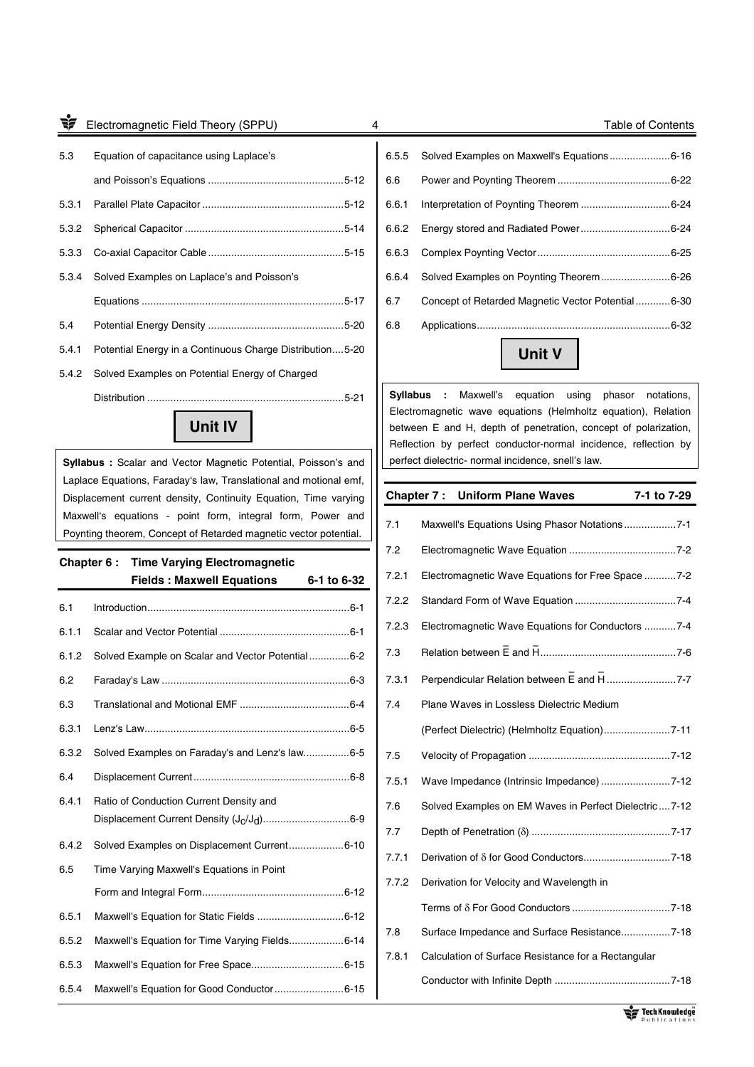5.3 Equation of capacitance using Laplace's and Poisson's Equations ............................................... 5-12 5.3.1 Parallel Plate Capacitor ................................................. 5-12 5.3.2 Spherical Capacitor ....................................................... 5-14 5.3.3 Co-axial Capacitor Cable ............................................... 5-15 5.3.4 Solved Examples on Laplace's and Poisson's Equations ...................................................................... 5-17 5.4 Potential Energy Density ............................................... 5-20 5.4.1 Potential Energy in a Continuous Charge Distribution .... 5-20 5.4.2 Solved Examples on Potential Energy of Charged

6.5.5 Solved Examples on Maxwell's Equations ..................... 6-16 6.6 Power and Poynting Theorem ....................................... 6-22 6.6.1 Interpretation of Poynting Theorem ............................... 6-24 6.6.2 Energy stored and Radiated Power ............................... 6-24 6.6.3 Complex Poynting Vector .............................................. 6-25 6.6.4 Solved Examples on Poynting Theorem ........................ 6-26 6.7 Concept of Retarded Magnetic Vector Potential ............ 6-30 6.8 Applications ................................................................... 6-32

**Unit V** 

**Syllabus :** Maxwell's equation using phasor notations, Electromagnetic wave equations (Helmholtz equation), Relation between E and H, depth of penetration, concept of polarization, Reflection by perfect conductor-normal incidence, reflection by perfect dielectric- normal incidence, snell's law.

|       | <b>Chapter 7: Uniform Plane Waves</b>                 | 7-1 to 7-29 |
|-------|-------------------------------------------------------|-------------|
| 7.1   | Maxwell's Equations Using Phasor Notations7-1         |             |
| 7.2   |                                                       |             |
| 7.2.1 | Electromagnetic Wave Equations for Free Space 7-2     |             |
| 7.2.2 |                                                       |             |
| 7.2.3 | Electromagnetic Wave Equations for Conductors 7-4     |             |
| 7.3   |                                                       |             |
| 7.3.1 | Perpendicular Relation between E and H 7-7            |             |
| 7.4   | Plane Waves in Lossless Dielectric Medium             |             |
|       | (Perfect Dielectric) (Helmholtz Equation)7-11         |             |
| 7.5   |                                                       |             |
| 7.5.1 | Wave Impedance (Intrinsic Impedance) 7-12             |             |
| 7.6   | Solved Examples on EM Waves in Perfect Dielectric7-12 |             |
| 7.7   |                                                       |             |
| 7.7.1 |                                                       |             |
| 7.7.2 | Derivation for Velocity and Wavelength in             |             |
|       |                                                       |             |
| 7.8   | Surface Impedance and Surface Resistance7-18          |             |
| 7.8.1 | Calculation of Surface Resistance for a Rectangular   |             |
|       |                                                       |             |

## **Unit IV**

Distribution .................................................................... 5-21

**Syllabus :** Scalar and Vector Magnetic Potential, Poisson's and Laplace Equations, Faraday's law, Translational and motional emf, Displacement current density, Continuity Equation, Time varying Maxwell's equations - point form, integral form, Power and Poynting theorem, Concept of Retarded magnetic vector potential.

# **Chapter 6 : Time Varying Electromagnetic Fields : Maxwell Equations 6-1 to 6-32**

6.1 Introduction ...................................................................... 6-1

| 6.1.1 |                                                                   |
|-------|-------------------------------------------------------------------|
| 6.1.2 | Solved Example on Scalar and Vector Potential6-2                  |
| 6.2   |                                                                   |
| 6.3   |                                                                   |
| 6.3.1 |                                                                   |
| 6.3.2 | Solved Examples on Faraday's and Lenz's law6-5                    |
| 6.4   |                                                                   |
| 6.4.1 | Ratio of Conduction Current Density and                           |
|       | Displacement Current Density (J <sub>C</sub> /J <sub>d</sub> )6-9 |
| 6.4.2 | Solved Examples on Displacement Current6-10                       |
| 6.5   | Time Varying Maxwell's Equations in Point                         |
|       |                                                                   |
| 6.5.1 |                                                                   |
| 6.5.2 | Maxwell's Equation for Time Varying Fields6-14                    |
| 6.5.3 |                                                                   |
| 6.5.4 | Maxwell's Equation for Good Conductor6-15                         |